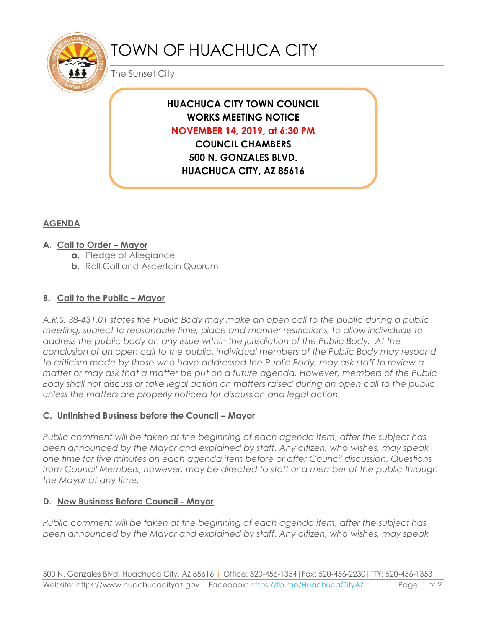

# TOWN OF HUACHUCA CITY

The Sunset City

# **HUACHUCA CITY TOWN COUNCIL WORKS MEETING NOTICE NOVEMBER 14, 2019, at 6:30 PM**

**COUNCIL CHAMBERS 500 N. GONZALES BLVD. HUACHUCA CITY, AZ 85616**

## **AGENDA**

#### **A. Call to Order – Mayor**

- **a.** Pledge of Allegiance
- **b.** Roll Call and Ascertain Quorum

## **B. Call to the Public – Mayor**

*A.R.S. 38-431.01 states the Public Body may make an open call to the public during a public meeting, subject to reasonable time, place and manner restrictions, to allow individuals to address the public body on any issue within the jurisdiction of the Public Body. At the conclusion of an open call to the public, individual members of the Public Body may respond to criticism made by those who have addressed the Public Body, may ask staff to review a matter or may ask that a matter be put on a future agenda. However, members of the Public Body shall not discuss or take legal action on matters raised during an open call to the public unless the matters are properly noticed for discussion and legal action.*

#### **C. Unfinished Business before the Council – Mayor**

*Public comment will be taken at the beginning of each agenda item, after the subject has been announced by the Mayor and explained by staff. Any citizen, who wishes, may speak one time for five minutes on each agenda item before or after Council discussion. Questions from Council Members, however, may be directed to staff or a member of the public through the Mayor at any time.*

#### **D. New Business Before Council - Mayor**

*Public comment will be taken at the beginning of each agenda item, after the subject has been announced by the Mayor and explained by staff. Any citizen, who wishes, may speak*